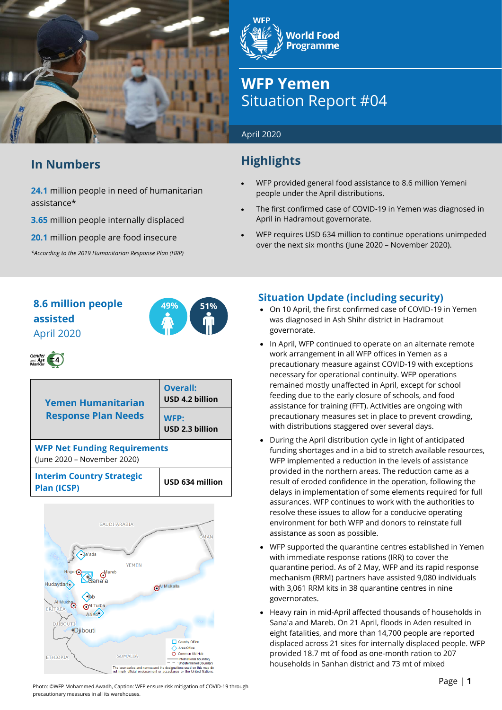

## **In Numbers**

**24.1** million people in need of humanitarian assistance\*

**3.65** million people internally displaced

**20.1** million people are food insecure

*\*According to the 2019 Humanitarian Response Plan (HRP)*

**World Food Programme** 

# **WFP Yemen** Situation Report #04

#### April 2020

## **Highlights**

- WFP provided general food assistance to 8.6 million Yemeni people under the April distributions.
- The first confirmed case of COVID-19 in Yemen was diagnosed in April in Hadramout governorate.
- WFP requires USD 634 million to continue operations unimpeded over the next six months (June 2020 – November 2020).

## **8.6 million people 49% 51% assisted** April 2020



# Gender<br>and Age  $\left( -4 \right)$

| <b>Yemen Humanitarian</b>                                          | Overall:<br>USD 4.2 billion |  |
|--------------------------------------------------------------------|-----------------------------|--|
| <b>Response Plan Needs</b>                                         | WFP:<br>USD 2.3 billion     |  |
| <b>WFP Net Funding Requirements</b><br>(June 2020 – November 2020) |                             |  |
| <b>Interim Country Strategic</b><br><b>Plan (ICSP)</b>             | USD 634 million             |  |



## **Situation Update (including security)**

- On 10 April, the first confirmed case of COVID-19 in Yemen was diagnosed in Ash Shihr district in Hadramout governorate.
- In April, WFP continued to operate on an alternate remote work arrangement in all WFP offices in Yemen as a precautionary measure against COVID-19 with exceptions necessary for operational continuity. WFP operations remained mostly unaffected in April, except for school feeding due to the early closure of schools, and food assistance for training (FFT). Activities are ongoing with precautionary measures set in place to prevent crowding, with distributions staggered over several days.
- During the April distribution cycle in light of anticipated funding shortages and in a bid to stretch available resources, WFP implemented a reduction in the levels of assistance provided in the northern areas. The reduction came as a result of eroded confidence in the operation, following the delays in implementation of some elements required for full assurances. WFP continues to work with the authorities to resolve these issues to allow for a conducive operating environment for both WFP and donors to reinstate full assistance as soon as possible.
- WFP supported the quarantine centres established in Yemen with immediate response rations (IRR) to cover the quarantine period. As of 2 May, WFP and its rapid response mechanism (RRM) partners have assisted 9,080 individuals with 3,061 RRM kits in 38 quarantine centres in nine governorates.
- Heavy rain in mid-April affected thousands of households in Sana'a and Mareb. On 21 April, floods in Aden resulted in eight fatalities, and more than 14,700 people are reported displaced across 21 sites for internally displaced people. WFP provided 18.7 mt of food as one-month ration to 207 households in Sanhan district and 73 mt of mixed

Photo: ©WFP Mohammed Awadh, Caption: WFP ensure risk mitigation of COVID-19 through precautionary measures in all its warehouses.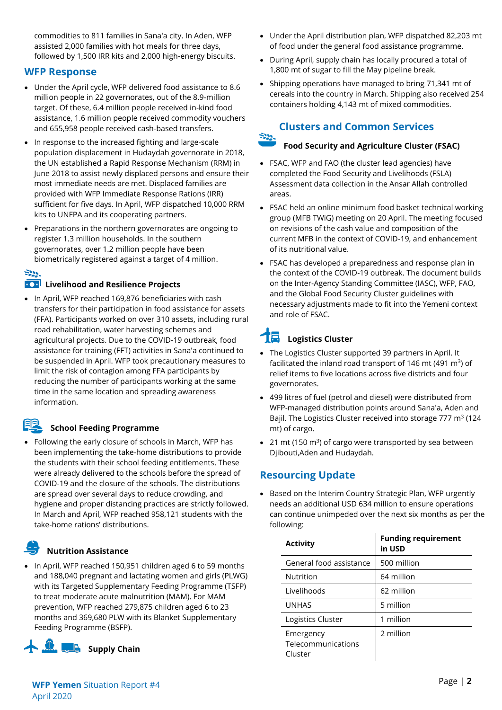commodities to 811 families in Sana'a city. In Aden, WFP assisted 2,000 families with hot meals for three days, followed by 1,500 IRR kits and 2,000 high-energy biscuits.

#### **WFP Response**

- Under the April cycle, WFP delivered food assistance to 8.6 million people in 22 governorates, out of the 8.9-million target. Of these, 6.4 million people received in-kind food assistance, 1.6 million people received commodity vouchers and 655,958 people received cash-based transfers.
- In response to the increased fighting and large-scale population displacement in Hudaydah governorate in 2018, the UN established a Rapid Response Mechanism (RRM) in June 2018 to assist newly displaced persons and ensure their most immediate needs are met. Displaced families are provided with WFP Immediate Response Rations (IRR) sufficient for five days. In April, WFP dispatched 10,000 RRM kits to UNFPA and its cooperating partners.
- Preparations in the northern governorates are ongoing to register 1.3 million households. In the southern governorates, over 1.2 million people have been biometrically registered against a target of 4 million.

## $\mathbb{R}^{n}$

#### **EXT** Livelihood and Resilience Projects

• In April, WFP reached 169,876 beneficiaries with cash transfers for their participation in food assistance for assets (FFA). Participants worked on over 310 assets, including rural road rehabilitation, water harvesting schemes and agricultural projects. Due to the COVID-19 outbreak, food assistance for training (FFT) activities in Sana'a continued to be suspended in April. WFP took precautionary measures to limit the risk of contagion among FFA participants by reducing the number of participants working at the same time in the same location and spreading awareness information.

### **School Feeding Programme**

• Following the early closure of schools in March, WFP has been implementing the take-home distributions to provide the students with their school feeding entitlements. These were already delivered to the schools before the spread of COVID-19 and the closure of the schools. The distributions are spread over several days to reduce crowding, and hygiene and proper distancing practices are strictly followed. In March and April, WFP reached 958,121 students with the take-home rations' distributions.

## **Nutrition Assistance**

• In April, WFP reached 150,951 children aged 6 to 59 months and 188,040 pregnant and lactating women and girls (PLWG) with its Targeted Supplementary Feeding Programme (TSFP) to treat moderate acute malnutrition (MAM). For MAM prevention, WFP reached 279,875 children aged 6 to 23 months and 369,680 PLW with its Blanket Supplementary Feeding Programme (BSFP).



- Under the April distribution plan, WFP dispatched 82,203 mt of food under the general food assistance programme.
- During April, supply chain has locally procured a total of 1,800 mt of sugar to fill the May pipeline break.
- Shipping operations have managed to bring 71,341 mt of cereals into the country in March. Shipping also received 254 containers holding 4,143 mt of mixed commodities.

### **Clusters and Common Services**

#### $\approx$ **Food Security and Agriculture Cluster (FSAC)**

- FSAC, WFP and FAO (the cluster lead agencies) have completed the Food Security and Livelihoods (FSLA) Assessment data collection in the Ansar Allah controlled areas.
- FSAC held an online minimum food basket technical working group (MFB TWiG) meeting on 20 April. The meeting focused on revisions of the cash value and composition of the current MFB in the context of COVID-19, and enhancement of its nutritional value.
- FSAC has developed a preparedness and response plan in the context of the COVID-19 outbreak. The document builds on the Inter-Agency Standing Committee (IASC), WFP, FAO, and the Global Food Security Cluster guidelines with necessary adjustments made to fit into the Yemeni context and role of FSAC.

# **Logistics Cluster**

- The Logistics Cluster supported 39 partners in April. It facilitated the inland road transport of 146 mt (491  $m^3$ ) of relief items to five locations across five districts and four governorates.
- 499 litres of fuel (petrol and diesel) were distributed from WFP-managed distribution points around Sana'a, Aden and Bajil. The Logistics Cluster received into storage 777 m<sup>3</sup> (124 mt) of cargo.
- 21 mt (150 m<sup>3</sup>) of cargo were transported by sea between Djibouti,Aden and Hudaydah.

## **Resourcing Update**

• Based on the Interim Country Strategic Plan, WFP urgently needs an additional USD 634 million to ensure operations can continue unimpeded over the next six months as per the following:

| <b>Activity</b>                            | <b>Funding requirement</b><br>in USD |
|--------------------------------------------|--------------------------------------|
| General food assistance                    | 500 million                          |
| Nutrition                                  | 64 million                           |
| Livelihoods                                | 62 million                           |
| <b>UNHAS</b>                               | 5 million                            |
| Logistics Cluster                          | 1 million                            |
| Emergency<br>Telecommunications<br>Cluster | 2 million                            |

**WFP** Page | **<sup>2</sup> Yemen** Situation Report #4 April 2020